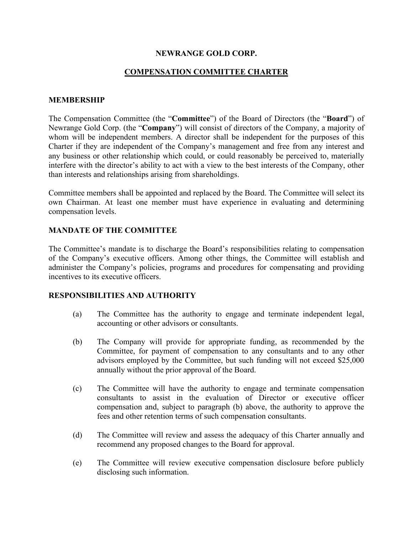### **NEWRANGE GOLD CORP.**

# **COMPENSATION COMMITTEE CHARTER**

### **MEMBERSHIP**

The Compensation Committee (the "**Committee**") of the Board of Directors (the "**Board**") of Newrange Gold Corp. (the "**Company**") will consist of directors of the Company, a majority of whom will be independent members. A director shall be independent for the purposes of this Charter if they are independent of the Company's management and free from any interest and any business or other relationship which could, or could reasonably be perceived to, materially interfere with the director's ability to act with a view to the best interests of the Company, other than interests and relationships arising from shareholdings.

Committee members shall be appointed and replaced by the Board. The Committee will select its own Chairman. At least one member must have experience in evaluating and determining compensation levels.

## **MANDATE OF THE COMMITTEE**

The Committee's mandate is to discharge the Board's responsibilities relating to compensation of the Company's executive officers. Among other things, the Committee will establish and administer the Company's policies, programs and procedures for compensating and providing incentives to its executive officers.

#### **RESPONSIBILITIES AND AUTHORITY**

- (a) The Committee has the authority to engage and terminate independent legal, accounting or other advisors or consultants.
- (b) The Company will provide for appropriate funding, as recommended by the Committee, for payment of compensation to any consultants and to any other advisors employed by the Committee, but such funding will not exceed \$25,000 annually without the prior approval of the Board.
- (c) The Committee will have the authority to engage and terminate compensation consultants to assist in the evaluation of Director or executive officer compensation and, subject to paragraph (b) above, the authority to approve the fees and other retention terms of such compensation consultants.
- (d) The Committee will review and assess the adequacy of this Charter annually and recommend any proposed changes to the Board for approval.
- (e) The Committee will review executive compensation disclosure before publicly disclosing such information.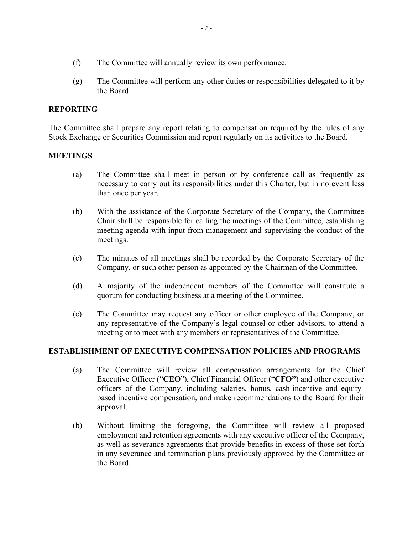- (f) The Committee will annually review its own performance.
- (g) The Committee will perform any other duties or responsibilities delegated to it by the Board.

## **REPORTING**

The Committee shall prepare any report relating to compensation required by the rules of any Stock Exchange or Securities Commission and report regularly on its activities to the Board.

#### **MEETINGS**

- (a) The Committee shall meet in person or by conference call as frequently as necessary to carry out its responsibilities under this Charter, but in no event less than once per year.
- (b) With the assistance of the Corporate Secretary of the Company, the Committee Chair shall be responsible for calling the meetings of the Committee, establishing meeting agenda with input from management and supervising the conduct of the meetings.
- (c) The minutes of all meetings shall be recorded by the Corporate Secretary of the Company, or such other person as appointed by the Chairman of the Committee.
- (d) A majority of the independent members of the Committee will constitute a quorum for conducting business at a meeting of the Committee.
- (e) The Committee may request any officer or other employee of the Company, or any representative of the Company's legal counsel or other advisors, to attend a meeting or to meet with any members or representatives of the Committee.

#### **ESTABLISHMENT OF EXECUTIVE COMPENSATION POLICIES AND PROGRAMS**

- (a) The Committee will review all compensation arrangements for the Chief Executive Officer ("**CEO**"), Chief Financial Officer ("**CFO"**) and other executive officers of the Company, including salaries, bonus, cash-incentive and equitybased incentive compensation, and make recommendations to the Board for their approval.
- (b) Without limiting the foregoing, the Committee will review all proposed employment and retention agreements with any executive officer of the Company, as well as severance agreements that provide benefits in excess of those set forth in any severance and termination plans previously approved by the Committee or the Board.